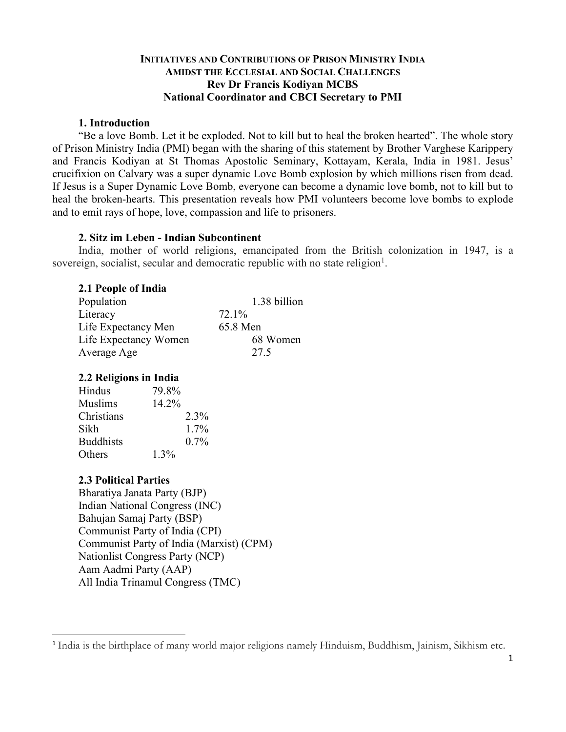## **INITIATIVES AND CONTRIBUTIONS OF PRISON MINISTRY INDIA AMIDST THE ECCLESIAL AND SOCIAL CHALLENGES Rev Dr Francis Kodiyan MCBS National Coordinator and CBCI Secretary to PMI**

### **1. Introduction**

"Be a love Bomb. Let it be exploded. Not to kill but to heal the broken hearted". The whole story of Prison Ministry India (PMI) began with the sharing of this statement by Brother Varghese Karippery and Francis Kodiyan at St Thomas Apostolic Seminary, Kottayam, Kerala, India in 1981. Jesus' crucifixion on Calvary was a super dynamic Love Bomb explosion by which millions risen from dead. If Jesus is a Super Dynamic Love Bomb, everyone can become a dynamic love bomb, not to kill but to heal the broken-hearts. This presentation reveals how PMI volunteers become love bombs to explode and to emit rays of hope, love, compassion and life to prisoners.

### **2. Sitz im Leben - Indian Subcontinent**

India, mother of world religions, emancipated from the British colonization in 1947, is a sovereign, socialist, secular and democratic republic with no state religion<sup>1</sup>.

## **2.1 People of India**

| Population            | 1.38 billion |
|-----------------------|--------------|
| Literacy              | 72.1%        |
| Life Expectancy Men   | 65.8 Men     |
| Life Expectancy Women | 68 Women     |
| Average Age           | 27.5         |

## **2.2 Religions in India**

| Hindus           | 79.8%   |
|------------------|---------|
| Muslims          | 14.2%   |
| Christians       | 2.3%    |
| Sikh             | $1.7\%$ |
| <b>Buddhists</b> | $0.7\%$ |
| Others           | $1.3\%$ |

## **2.3 Political Parties**

Bharatiya Janata Party (BJP) Indian National Congress (INC) Bahujan Samaj Party (BSP) Communist Party of India (CPI) Communist Party of India (Marxist) (CPM) Nationlist Congress Party (NCP) Aam Aadmi Party (AAP) All India Trinamul Congress (TMC)

<sup>&</sup>lt;sup>1</sup> India is the birthplace of many world major religions namely Hinduism, Buddhism, Jainism, Sikhism etc.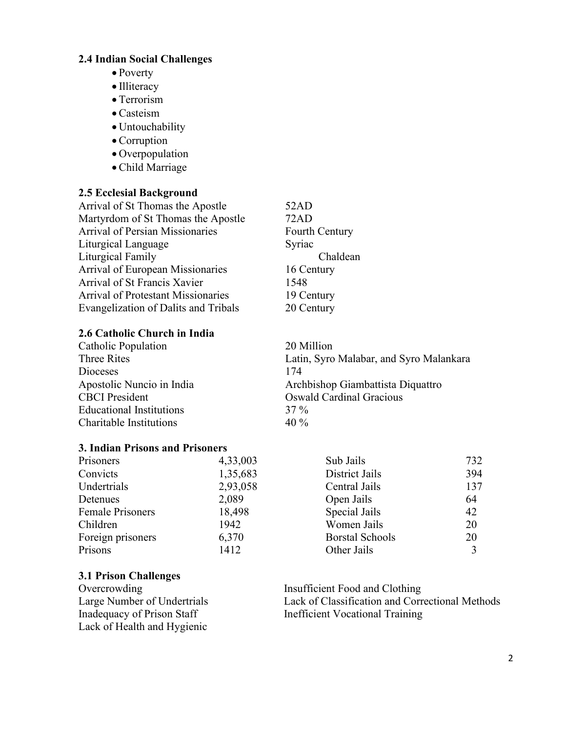# **2.4 Indian Social Challenges**

- Poverty
- Illiteracy
- Terrorism
- Casteism
- Untouchability
- Corruption
- Overpopulation
- Child Marriage

# **2.5 Ecclesial Background**

| 52AD        |
|-------------|
| 72AD        |
| Fourth Cent |
| Syriac      |
| Cha         |
| 16 Century  |
| 1548        |
| 19 Century  |
| 20 Century  |
|             |

# **2.6 Catholic Church in India**

Catholic Population 20 Million Dioceses 174 CBCI President CBCI President CBCI President Educational Institutions 37 % Charitable Institutions 40 %

## **3. Indian Prisons and Prisoners**

| 4,33,003 |
|----------|
| 1,35,683 |
| 2,93,058 |
| 2,089    |
| 18,498   |
| 1942     |
| 6,370    |
| 1412     |
|          |

# **3.1 Prison Challenges**

**Overcrowding** Large Number of Undertrials Inadequacy of Prison Staff Lack of Health and Hygienic

52AD 72AD Fourth Century Syriac Chaldean 16 Century 19 Century

Three Rites Latin, Syro Malabar, and Syro Malankara Apostolic Nuncio in India Archbishop Giambattista Diquattro

| Sub Jails              | 732 |
|------------------------|-----|
| District Jails         | 394 |
| Central Jails          | 137 |
| Open Jails             | 64  |
| Special Jails          | 42  |
| Women Jails            | 20  |
| <b>Borstal Schools</b> | 20  |
| Other Jails            |     |

Insufficient Food and Clothing Lack of Classification and Correctional Methods Inefficient Vocational Training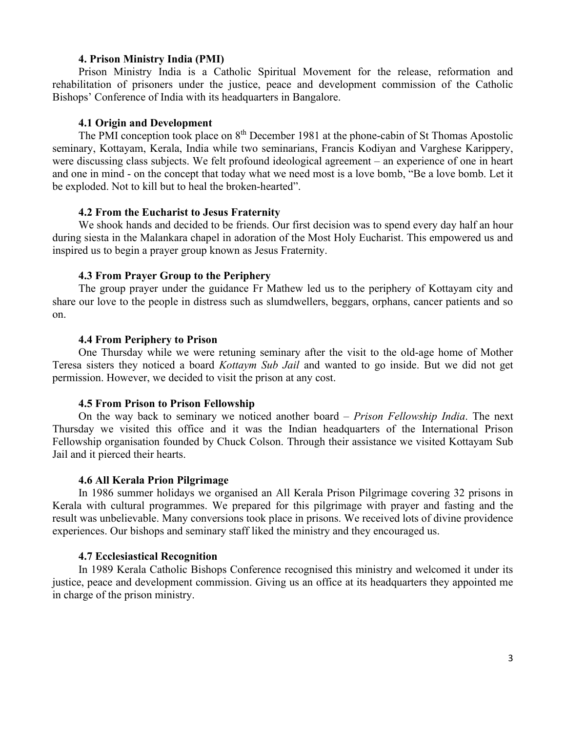### **4. Prison Ministry India (PMI)**

Prison Ministry India is a Catholic Spiritual Movement for the release, reformation and rehabilitation of prisoners under the justice, peace and development commission of the Catholic Bishops' Conference of India with its headquarters in Bangalore.

### **4.1 Origin and Development**

The PMI conception took place on  $8<sup>th</sup>$  December 1981 at the phone-cabin of St Thomas Apostolic seminary, Kottayam, Kerala, India while two seminarians, Francis Kodiyan and Varghese Karippery, were discussing class subjects. We felt profound ideological agreement – an experience of one in heart and one in mind - on the concept that today what we need most is a love bomb, "Be a love bomb. Let it be exploded. Not to kill but to heal the broken-hearted".

#### **4.2 From the Eucharist to Jesus Fraternity**

We shook hands and decided to be friends. Our first decision was to spend every day half an hour during siesta in the Malankara chapel in adoration of the Most Holy Eucharist. This empowered us and inspired us to begin a prayer group known as Jesus Fraternity.

### **4.3 From Prayer Group to the Periphery**

The group prayer under the guidance Fr Mathew led us to the periphery of Kottayam city and share our love to the people in distress such as slumdwellers, beggars, orphans, cancer patients and so on.

#### **4.4 From Periphery to Prison**

One Thursday while we were retuning seminary after the visit to the old-age home of Mother Teresa sisters they noticed a board *Kottaym Sub Jail* and wanted to go inside. But we did not get permission. However, we decided to visit the prison at any cost.

#### **4.5 From Prison to Prison Fellowship**

On the way back to seminary we noticed another board – *Prison Fellowship India*. The next Thursday we visited this office and it was the Indian headquarters of the International Prison Fellowship organisation founded by Chuck Colson. Through their assistance we visited Kottayam Sub Jail and it pierced their hearts.

#### **4.6 All Kerala Prion Pilgrimage**

In 1986 summer holidays we organised an All Kerala Prison Pilgrimage covering 32 prisons in Kerala with cultural programmes. We prepared for this pilgrimage with prayer and fasting and the result was unbelievable. Many conversions took place in prisons. We received lots of divine providence experiences. Our bishops and seminary staff liked the ministry and they encouraged us.

#### **4.7 Ecclesiastical Recognition**

In 1989 Kerala Catholic Bishops Conference recognised this ministry and welcomed it under its justice, peace and development commission. Giving us an office at its headquarters they appointed me in charge of the prison ministry.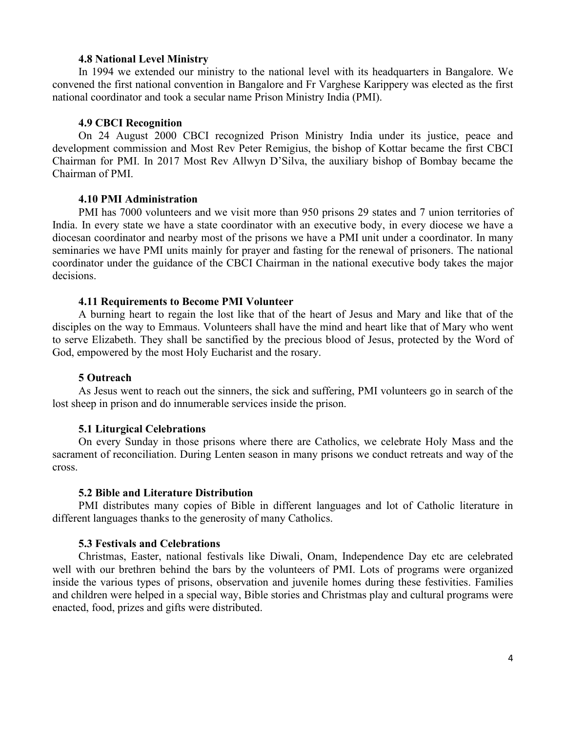### **4.8 National Level Ministry**

In 1994 we extended our ministry to the national level with its headquarters in Bangalore. We convened the first national convention in Bangalore and Fr Varghese Karippery was elected as the first national coordinator and took a secular name Prison Ministry India (PMI).

### **4.9 CBCI Recognition**

On 24 August 2000 CBCI recognized Prison Ministry India under its justice, peace and development commission and Most Rev Peter Remigius, the bishop of Kottar became the first CBCI Chairman for PMI. In 2017 Most Rev Allwyn D'Silva, the auxiliary bishop of Bombay became the Chairman of PMI.

### **4.10 PMI Administration**

PMI has 7000 volunteers and we visit more than 950 prisons 29 states and 7 union territories of India. In every state we have a state coordinator with an executive body, in every diocese we have a diocesan coordinator and nearby most of the prisons we have a PMI unit under a coordinator. In many seminaries we have PMI units mainly for prayer and fasting for the renewal of prisoners. The national coordinator under the guidance of the CBCI Chairman in the national executive body takes the major decisions.

### **4.11 Requirements to Become PMI Volunteer**

A burning heart to regain the lost like that of the heart of Jesus and Mary and like that of the disciples on the way to Emmaus. Volunteers shall have the mind and heart like that of Mary who went to serve Elizabeth. They shall be sanctified by the precious blood of Jesus, protected by the Word of God, empowered by the most Holy Eucharist and the rosary.

### **5 Outreach**

As Jesus went to reach out the sinners, the sick and suffering, PMI volunteers go in search of the lost sheep in prison and do innumerable services inside the prison.

### **5.1 Liturgical Celebrations**

On every Sunday in those prisons where there are Catholics, we celebrate Holy Mass and the sacrament of reconciliation. During Lenten season in many prisons we conduct retreats and way of the cross.

#### **5.2 Bible and Literature Distribution**

PMI distributes many copies of Bible in different languages and lot of Catholic literature in different languages thanks to the generosity of many Catholics.

### **5.3 Festivals and Celebrations**

Christmas, Easter, national festivals like Diwali, Onam, Independence Day etc are celebrated well with our brethren behind the bars by the volunteers of PMI. Lots of programs were organized inside the various types of prisons, observation and juvenile homes during these festivities. Families and children were helped in a special way, Bible stories and Christmas play and cultural programs were enacted, food, prizes and gifts were distributed.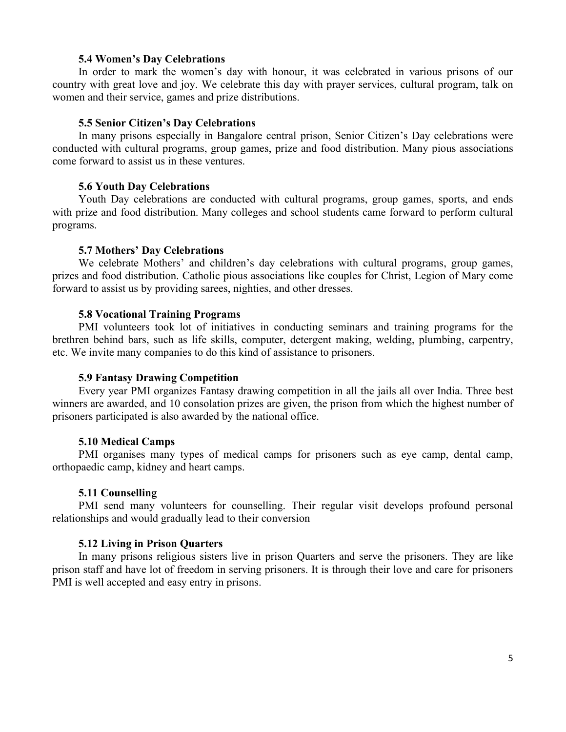### **5.4 Women's Day Celebrations**

In order to mark the women's day with honour, it was celebrated in various prisons of our country with great love and joy. We celebrate this day with prayer services, cultural program, talk on women and their service, games and prize distributions.

### **5.5 Senior Citizen's Day Celebrations**

In many prisons especially in Bangalore central prison, Senior Citizen's Day celebrations were conducted with cultural programs, group games, prize and food distribution. Many pious associations come forward to assist us in these ventures.

### **5.6 Youth Day Celebrations**

Youth Day celebrations are conducted with cultural programs, group games, sports, and ends with prize and food distribution. Many colleges and school students came forward to perform cultural programs.

### **5.7 Mothers' Day Celebrations**

We celebrate Mothers' and children's day celebrations with cultural programs, group games, prizes and food distribution. Catholic pious associations like couples for Christ, Legion of Mary come forward to assist us by providing sarees, nighties, and other dresses.

### **5.8 Vocational Training Programs**

PMI volunteers took lot of initiatives in conducting seminars and training programs for the brethren behind bars, such as life skills, computer, detergent making, welding, plumbing, carpentry, etc. We invite many companies to do this kind of assistance to prisoners.

### **5.9 Fantasy Drawing Competition**

Every year PMI organizes Fantasy drawing competition in all the jails all over India. Three best winners are awarded, and 10 consolation prizes are given, the prison from which the highest number of prisoners participated is also awarded by the national office.

### **5.10 Medical Camps**

PMI organises many types of medical camps for prisoners such as eye camp, dental camp, orthopaedic camp, kidney and heart camps.

## **5.11 Counselling**

PMI send many volunteers for counselling. Their regular visit develops profound personal relationships and would gradually lead to their conversion

## **5.12 Living in Prison Quarters**

In many prisons religious sisters live in prison Quarters and serve the prisoners. They are like prison staff and have lot of freedom in serving prisoners. It is through their love and care for prisoners PMI is well accepted and easy entry in prisons.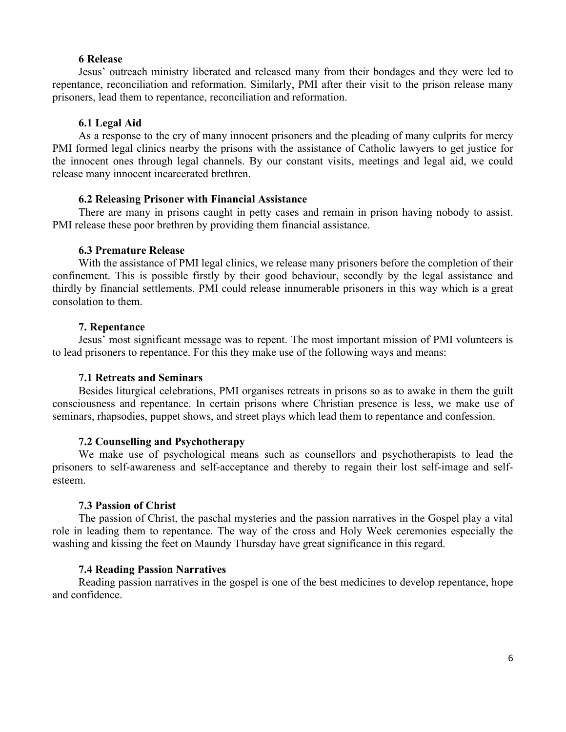### **6 Release**

Jesus' outreach ministry liberated and released many from their bondages and they were led to repentance, reconciliation and reformation. Similarly, PMI after their visit to the prison release many prisoners, lead them to repentance, reconciliation and reformation.

### **6.1 Legal Aid**

As a response to the cry of many innocent prisoners and the pleading of many culprits for mercy PMI formed legal clinics nearby the prisons with the assistance of Catholic lawyers to get justice for the innocent ones through legal channels. By our constant visits, meetings and legal aid, we could release many innocent incarcerated brethren.

#### **6.2 Releasing Prisoner with Financial Assistance**

There are many in prisons caught in petty cases and remain in prison having nobody to assist. PMI release these poor brethren by providing them financial assistance.

### **6.3 Premature Release**

With the assistance of PMI legal clinics, we release many prisoners before the completion of their confinement. This is possible firstly by their good behaviour, secondly by the legal assistance and thirdly by financial settlements. PMI could release innumerable prisoners in this way which is a great consolation to them.

### **7. Repentance**

Jesus' most significant message was to repent. The most important mission of PMI volunteers is to lead prisoners to repentance. For this they make use of the following ways and means:

### **7.1 Retreats and Seminars**

Besides liturgical celebrations, PMI organises retreats in prisons so as to awake in them the guilt consciousness and repentance. In certain prisons where Christian presence is less, we make use of seminars, rhapsodies, puppet shows, and street plays which lead them to repentance and confession.

### **7.2 Counselling and Psychotherapy**

We make use of psychological means such as counsellors and psychotherapists to lead the prisoners to self-awareness and self-acceptance and thereby to regain their lost self-image and selfesteem.

#### **7.3 Passion of Christ**

The passion of Christ, the paschal mysteries and the passion narratives in the Gospel play a vital role in leading them to repentance. The way of the cross and Holy Week ceremonies especially the washing and kissing the feet on Maundy Thursday have great significance in this regard.

### **7.4 Reading Passion Narratives**

Reading passion narratives in the gospel is one of the best medicines to develop repentance, hope and confidence.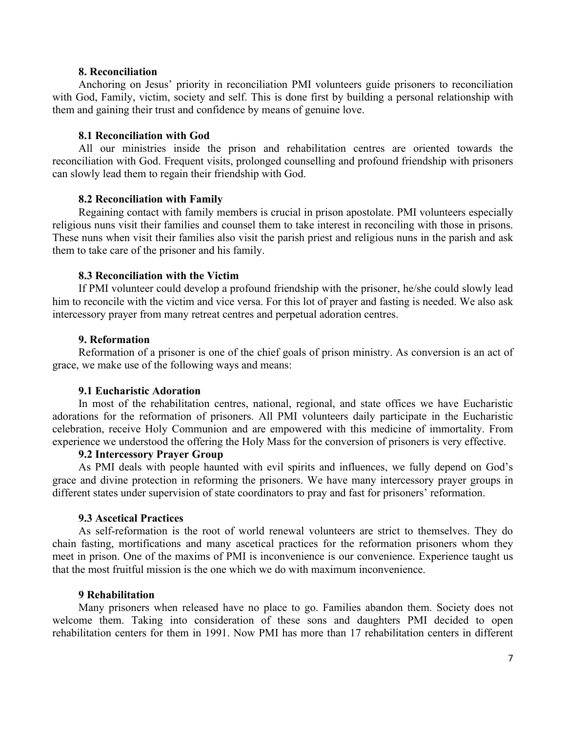### **8. Reconciliation**

Anchoring on Jesus' priority in reconciliation PMI volunteers guide prisoners to reconciliation with God, Family, victim, society and self. This is done first by building a personal relationship with them and gaining their trust and confidence by means of genuine love.

### **8.1 Reconciliation with God**

All our ministries inside the prison and rehabilitation centres are oriented towards the reconciliation with God. Frequent visits, prolonged counselling and profound friendship with prisoners can slowly lead them to regain their friendship with God.

### **8.2 Reconciliation with Family**

Regaining contact with family members is crucial in prison apostolate. PMI volunteers especially religious nuns visit their families and counsel them to take interest in reconciling with those in prisons. These nuns when visit their families also visit the parish priest and religious nuns in the parish and ask them to take care of the prisoner and his family.

### **8.3 Reconciliation with the Victim**

If PMI volunteer could develop a profound friendship with the prisoner, he/she could slowly lead him to reconcile with the victim and vice versa. For this lot of prayer and fasting is needed. We also ask intercessory prayer from many retreat centres and perpetual adoration centres.

#### **9. Reformation**

Reformation of a prisoner is one of the chief goals of prison ministry. As conversion is an act of grace, we make use of the following ways and means:

#### **9.1 Eucharistic Adoration**

In most of the rehabilitation centres, national, regional, and state offices we have Eucharistic adorations for the reformation of prisoners. All PMI volunteers daily participate in the Eucharistic celebration, receive Holy Communion and are empowered with this medicine of immortality. From experience we understood the offering the Holy Mass for the conversion of prisoners is very effective.

### **9.2 Intercessory Prayer Group**

As PMI deals with people haunted with evil spirits and influences, we fully depend on God's grace and divine protection in reforming the prisoners. We have many intercessory prayer groups in different states under supervision of state coordinators to pray and fast for prisoners' reformation.

### **9.3 Ascetical Practices**

As self-reformation is the root of world renewal volunteers are strict to themselves. They do chain fasting, mortifications and many ascetical practices for the reformation prisoners whom they meet in prison. One of the maxims of PMI is inconvenience is our convenience. Experience taught us that the most fruitful mission is the one which we do with maximum inconvenience.

### **9 Rehabilitation**

Many prisoners when released have no place to go. Families abandon them. Society does not welcome them. Taking into consideration of these sons and daughters PMI decided to open rehabilitation centers for them in 1991. Now PMI has more than 17 rehabilitation centers in different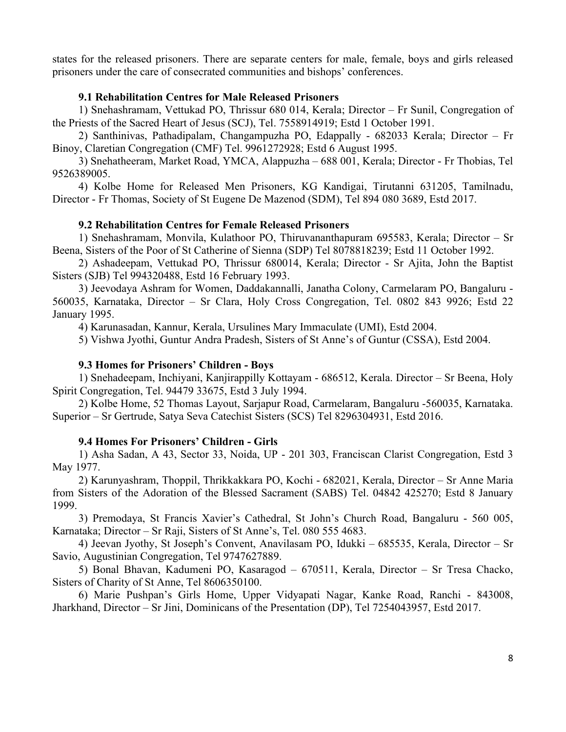states for the released prisoners. There are separate centers for male, female, boys and girls released prisoners under the care of consecrated communities and bishops' conferences.

## **9.1 Rehabilitation Centres for Male Released Prisoners**

1) Snehashramam, Vettukad PO, Thrissur 680 014, Kerala; Director – Fr Sunil, Congregation of the Priests of the Sacred Heart of Jesus (SCJ), Tel. 7558914919; Estd 1 October 1991.

2) Santhinivas, Pathadipalam, Changampuzha PO, Edappally - 682033 Kerala; Director – Fr Binoy, Claretian Congregation (CMF) Tel. 9961272928; Estd 6 August 1995.

3) Snehatheeram, Market Road, YMCA, Alappuzha – 688 001, Kerala; Director - Fr Thobias, Tel 9526389005.

4) Kolbe Home for Released Men Prisoners, KG Kandigai, Tirutanni 631205, Tamilnadu, Director - Fr Thomas, Society of St Eugene De Mazenod (SDM), Tel 894 080 3689, Estd 2017.

### **9.2 Rehabilitation Centres for Female Released Prisoners**

1) Snehashramam, Monvila, Kulathoor PO, Thiruvananthapuram 695583, Kerala; Director – Sr Beena, Sisters of the Poor of St Catherine of Sienna (SDP) Tel 8078818239; Estd 11 October 1992.

2) Ashadeepam, Vettukad PO, Thrissur 680014, Kerala; Director - Sr Ajita, John the Baptist Sisters (SJB) Tel 994320488, Estd 16 February 1993.

3) Jeevodaya Ashram for Women, Daddakannalli, Janatha Colony, Carmelaram PO, Bangaluru - 560035, Karnataka, Director – Sr Clara, Holy Cross Congregation, Tel. 0802 843 9926; Estd 22 January 1995.

4) Karunasadan, Kannur, Kerala, Ursulines Mary Immaculate (UMI), Estd 2004.

5) Vishwa Jyothi, Guntur Andra Pradesh, Sisters of St Anne's of Guntur (CSSA), Estd 2004.

### **9.3 Homes for Prisoners' Children - Boys**

1) Snehadeepam, Inchiyani, Kanjirappilly Kottayam - 686512, Kerala. Director – Sr Beena, Holy Spirit Congregation, Tel. 94479 33675, Estd 3 July 1994.

2) Kolbe Home, 52 Thomas Layout, Sarjapur Road, Carmelaram, Bangaluru -560035, Karnataka. Superior – Sr Gertrude, Satya Seva Catechist Sisters (SCS) Tel 8296304931, Estd 2016.

### **9.4 Homes For Prisoners' Children - Girls**

1) Asha Sadan, A 43, Sector 33, Noida, UP - 201 303, Franciscan Clarist Congregation, Estd 3 May 1977.

2) Karunyashram, Thoppil, Thrikkakkara PO, Kochi - 682021, Kerala, Director – Sr Anne Maria from Sisters of the Adoration of the Blessed Sacrament (SABS) Tel. 04842 425270; Estd 8 January 1999.

3) Premodaya, St Francis Xavier's Cathedral, St John's Church Road, Bangaluru - 560 005, Karnataka; Director – Sr Raji, Sisters of St Anne's, Tel. 080 555 4683.

4) Jeevan Jyothy, St Joseph's Convent, Anavilasam PO, Idukki – 685535, Kerala, Director – Sr Savio, Augustinian Congregation, Tel 9747627889.

5) Bonal Bhavan, Kadumeni PO, Kasaragod – 670511, Kerala, Director – Sr Tresa Chacko, Sisters of Charity of St Anne, Tel 8606350100.

6) Marie Pushpan's Girls Home, Upper Vidyapati Nagar, Kanke Road, Ranchi - 843008, Jharkhand, Director – Sr Jini, Dominicans of the Presentation (DP), Tel 7254043957, Estd 2017.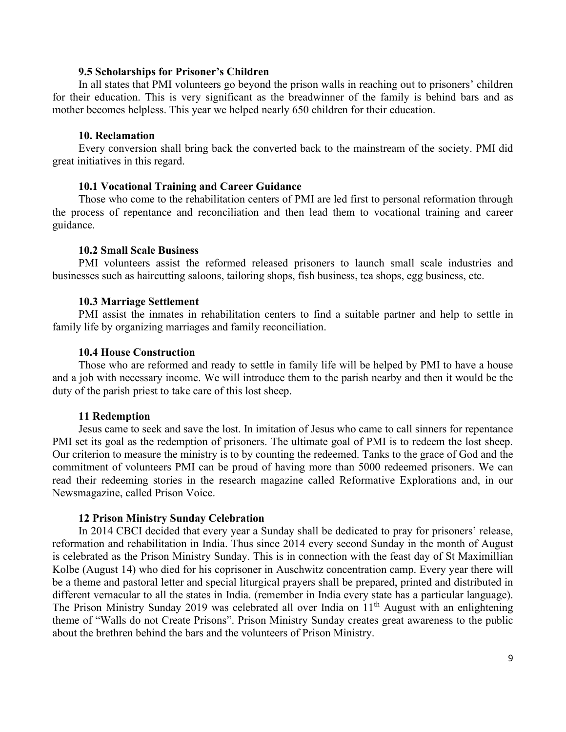### **9.5 Scholarships for Prisoner's Children**

In all states that PMI volunteers go beyond the prison walls in reaching out to prisoners' children for their education. This is very significant as the breadwinner of the family is behind bars and as mother becomes helpless. This year we helped nearly 650 children for their education.

### **10. Reclamation**

Every conversion shall bring back the converted back to the mainstream of the society. PMI did great initiatives in this regard.

### **10.1 Vocational Training and Career Guidance**

Those who come to the rehabilitation centers of PMI are led first to personal reformation through the process of repentance and reconciliation and then lead them to vocational training and career guidance.

### **10.2 Small Scale Business**

PMI volunteers assist the reformed released prisoners to launch small scale industries and businesses such as haircutting saloons, tailoring shops, fish business, tea shops, egg business, etc.

### **10.3 Marriage Settlement**

PMI assist the inmates in rehabilitation centers to find a suitable partner and help to settle in family life by organizing marriages and family reconciliation.

### **10.4 House Construction**

Those who are reformed and ready to settle in family life will be helped by PMI to have a house and a job with necessary income. We will introduce them to the parish nearby and then it would be the duty of the parish priest to take care of this lost sheep.

### **11 Redemption**

Jesus came to seek and save the lost. In imitation of Jesus who came to call sinners for repentance PMI set its goal as the redemption of prisoners. The ultimate goal of PMI is to redeem the lost sheep. Our criterion to measure the ministry is to by counting the redeemed. Tanks to the grace of God and the commitment of volunteers PMI can be proud of having more than 5000 redeemed prisoners. We can read their redeeming stories in the research magazine called Reformative Explorations and, in our Newsmagazine, called Prison Voice.

#### **12 Prison Ministry Sunday Celebration**

In 2014 CBCI decided that every year a Sunday shall be dedicated to pray for prisoners' release, reformation and rehabilitation in India. Thus since 2014 every second Sunday in the month of August is celebrated as the Prison Ministry Sunday. This is in connection with the feast day of St Maximillian Kolbe (August 14) who died for his coprisoner in Auschwitz concentration camp. Every year there will be a theme and pastoral letter and special liturgical prayers shall be prepared, printed and distributed in different vernacular to all the states in India. (remember in India every state has a particular language). The Prison Ministry Sunday 2019 was celebrated all over India on 11<sup>th</sup> August with an enlightening theme of "Walls do not Create Prisons". Prison Ministry Sunday creates great awareness to the public about the brethren behind the bars and the volunteers of Prison Ministry.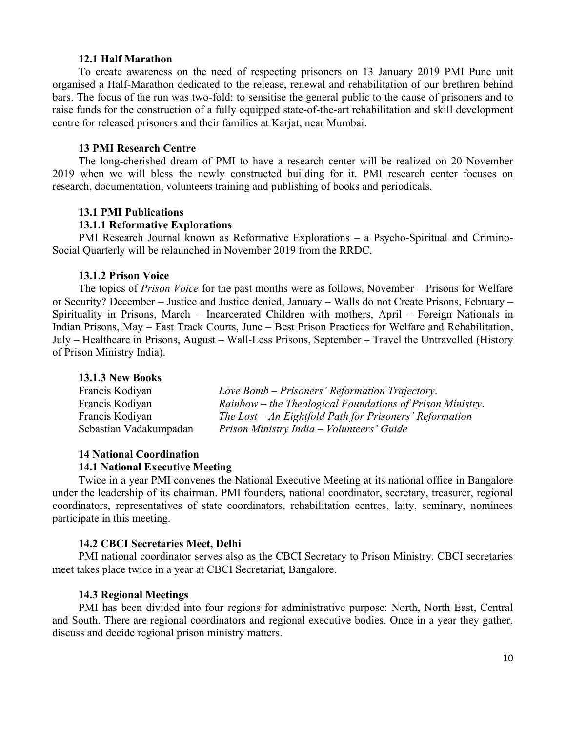### **12.1 Half Marathon**

To create awareness on the need of respecting prisoners on 13 January 2019 PMI Pune unit organised a Half-Marathon dedicated to the release, renewal and rehabilitation of our brethren behind bars. The focus of the run was two-fold: to sensitise the general public to the cause of prisoners and to raise funds for the construction of a fully equipped state-of-the-art rehabilitation and skill development centre for released prisoners and their families at Karjat, near Mumbai.

### **13 PMI Research Centre**

The long-cherished dream of PMI to have a research center will be realized on 20 November 2019 when we will bless the newly constructed building for it. PMI research center focuses on research, documentation, volunteers training and publishing of books and periodicals.

#### **13.1 PMI Publications**

#### **13.1.1 Reformative Explorations**

PMI Research Journal known as Reformative Explorations – a Psycho-Spiritual and Crimino-Social Quarterly will be relaunched in November 2019 from the RRDC.

#### **13.1.2 Prison Voice**

The topics of *Prison Voice* for the past months were as follows, November – Prisons for Welfare or Security? December – Justice and Justice denied, January – Walls do not Create Prisons, February – Spirituality in Prisons, March – Incarcerated Children with mothers, April – Foreign Nationals in Indian Prisons, May – Fast Track Courts, June – Best Prison Practices for Welfare and Rehabilitation, July – Healthcare in Prisons, August – Wall-Less Prisons, September – Travel the Untravelled (History of Prison Ministry India).

#### **13.1.3 New Books**

| Francis Kodiyan        | Love Bomb – Prisoners' Reformation Trajectory.            |
|------------------------|-----------------------------------------------------------|
| Francis Kodiyan        | Rainbow – the Theological Foundations of Prison Ministry. |
| Francis Kodiyan        | The Lost $-An$ Eightfold Path for Prisoners' Reformation  |
| Sebastian Vadakumpadan | Prison Ministry India – Volunteers' Guide                 |

### **14 National Coordination 14.1 National Executive Meeting**

Twice in a year PMI convenes the National Executive Meeting at its national office in Bangalore under the leadership of its chairman. PMI founders, national coordinator, secretary, treasurer, regional coordinators, representatives of state coordinators, rehabilitation centres, laity, seminary, nominees participate in this meeting.

### **14.2 CBCI Secretaries Meet, Delhi**

PMI national coordinator serves also as the CBCI Secretary to Prison Ministry. CBCI secretaries meet takes place twice in a year at CBCI Secretariat, Bangalore.

### **14.3 Regional Meetings**

PMI has been divided into four regions for administrative purpose: North, North East, Central and South. There are regional coordinators and regional executive bodies. Once in a year they gather, discuss and decide regional prison ministry matters.